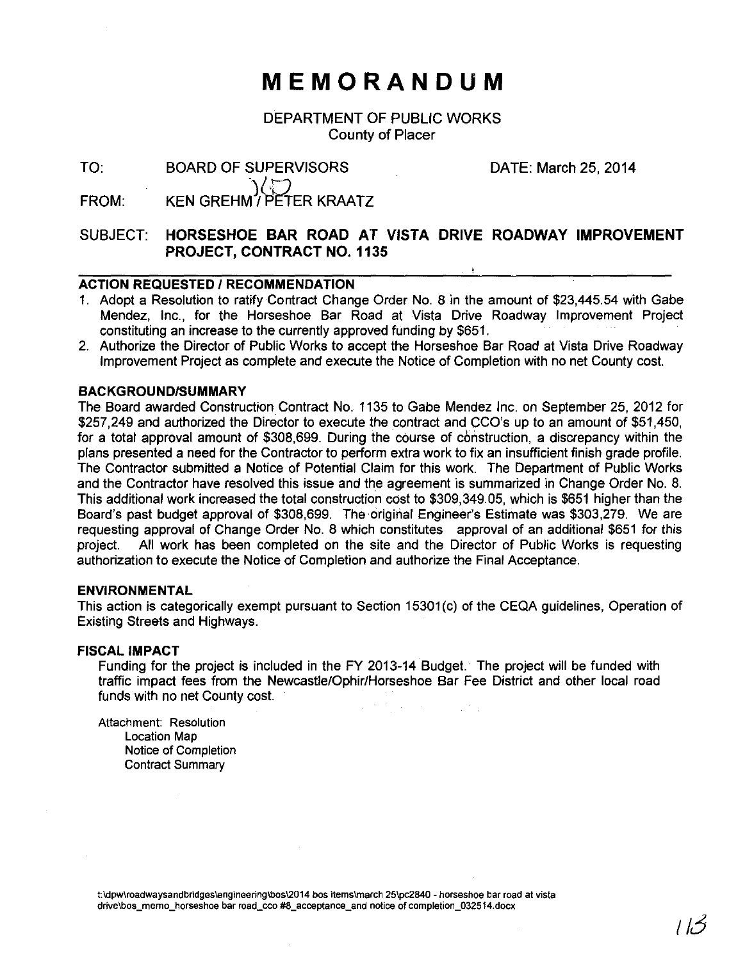# **MEMORANDUM**

DEPARTMENT OF PUBLIC WORKS County of Placer

TO:

BOARD OF SUPERVISORS DATE: March 25, 2014 V/T) (کے آ∕)<br>KEN GREHM / PETER KRAATZ

FROM:

## SUBJECT: **HORSESHOE BAR ROAD AT VISTA DRIVE ROADWAY IMPROVEMENT PROJECT, CONTRACT NO. 1135**

## **ACTION REQUESTED I RECOMMENDATION**

- 1. Adopt a Resolution to ratify Contract Change Order No. 8 in the amount of \$23,445.54 with Gabe Mendez, Inc., for the Horseshoe Bar Road at Vista Drive Roadway Improvement Project constituting an increase to the currently approved funding by \$651.
- 2. Authorize the Director of Public Works to accept the Horseshoe Bar Road at Vista Drive Roadway Improvement Project as complete and execute the Notice of Completion with no net County cost.

## **BACKGROUND/SUMMARY**

The Board awarded Construction Contract No. 1135 to Gabe Mendez Inc. on September 25,2012 for \$257,249 and authorized the Director to execute the contract and CCO's up to an amount of \$51,450, for a total approval amount of \$308,699. During the course of construction, a discrepancy within the plans presented a need for the Contractor to perform extra work to fix an insufficient finish grade profile. The Contractor submitted a Notice of Potential Claim for this work. The Department of Public Works and the Contractor have resolved this issue and the agreement is summarized in Change Order No. 8. This additional work increased the total construction cost to \$309,349.05, which is \$651 higher than the Board's past budget approval of \$308,699. The original Engineer's Estimate was \$303,279. We are requesting approval of Change Order No. 8 which constitutes approval of an additional \$651 for this project. All work has been completed on the site and the Director of Public Works is requesting authorization to execute the Notice of Completion and authorize the Final Acceptance.

### **ENVIRONMENTAL**

This action is categorically exempt pursuant to Section 15301 (c) of the CEQA guidelines, Operation of Existing Streets and Highways.

### **FISCAL IMPACT**

Funding for the project is included in the FY 2013-14 Budget. The project will be funded with traffic impact fees from the Newcastle/Ophir/Horseshoe Bar Fee District and other local road funds with no net County cost.

Attachment: Resolution Location Map Notice of Completion Contract Summary

**t:\dpw\roadwaysandbridges\engineering\bos\2014 bos items\march 25\pc2840- horseshoe bar road at vista**  drive\bos\_memo\_horseshoe bar road\_cco #8\_acceptance\_and notice of completion\_032514.docx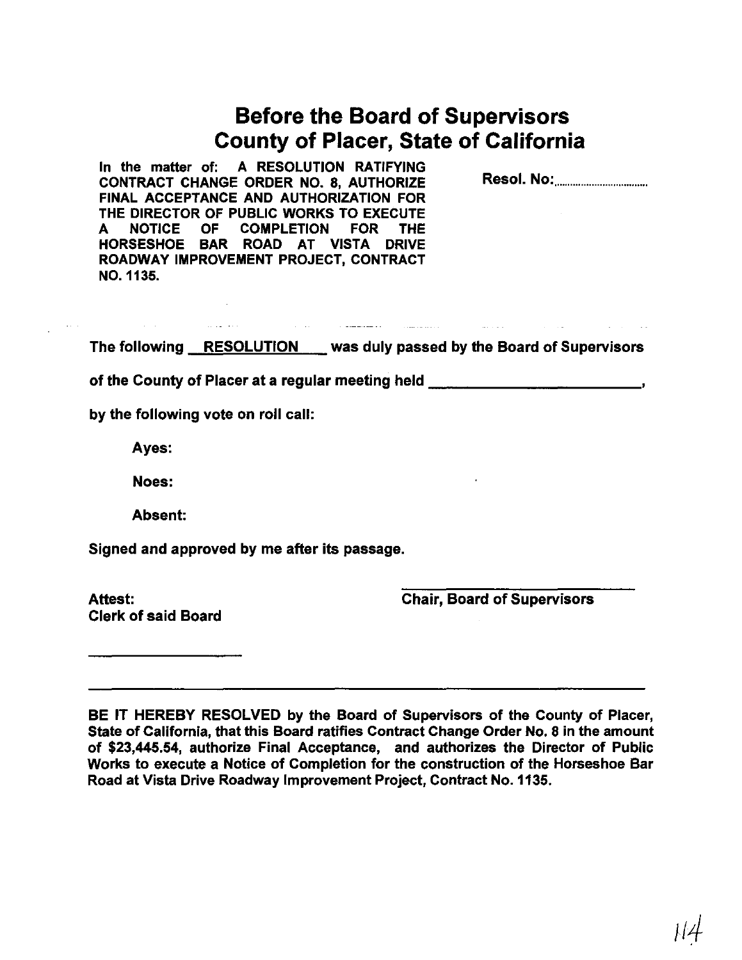| <b>Before the Board of Supervisors</b>       |
|----------------------------------------------|
| <b>County of Placer, State of California</b> |

In the matter of: A RESOLUTION RATIFYING CONTRACT CHANGE ORDER NO. 8, AUTHORIZE FINAL ACCEPTANCE AND AUTHORIZATION FOR THE DIRECTOR OF PUBLIC WORKS TO EXECUTE<br>A NOTICE OF COMPLETION FOR THE COMPLETION FOR THE HORSESHOE BAR ROAD AT VISTA DRIVE ROADWAY IMPROVEMENT PROJECT, CONTRACT N0.1135.

Resol. No: .................................. .

 $\mathcal{L}_{\text{max}}$  and  $\mathcal{L}_{\text{max}}$  . The  $\mathcal{L}_{\text{max}}$ 

The following RESOLUTION was duly passed by the Board of Supervisors

a sa bailtean an Comanach an Comanach an Comanach an Comanach an Comanach an Comanach an Comanach an Comanach<br>Tagairtí

of the County of Placer at a regular meeting held \_\_\_\_\_\_\_\_\_\_\_\_\_\_\_\_\_\_\_\_\_\_\_\_\_\_\_\_\_\_

by the following vote on roll call:

Ayes:

Noes:

Absent:

Signed and approved by me after its passage.

Clerk of said Board

Attest: Chair, Board of Supervisors

المتحدث

BE IT HEREBY RESOLVED by the Board of Supervisors of the County of Placer, State of California, that this Board ratifies Contract Change Order No. 8 in the amount of \$23,445.54, authorize Final Acceptance, and authorizes the Director of Public Works to execute a Notice of Completion for the construction of the Horseshoe Bar Road at Vista Drive Roadway Improvement Project, Contract No.1135.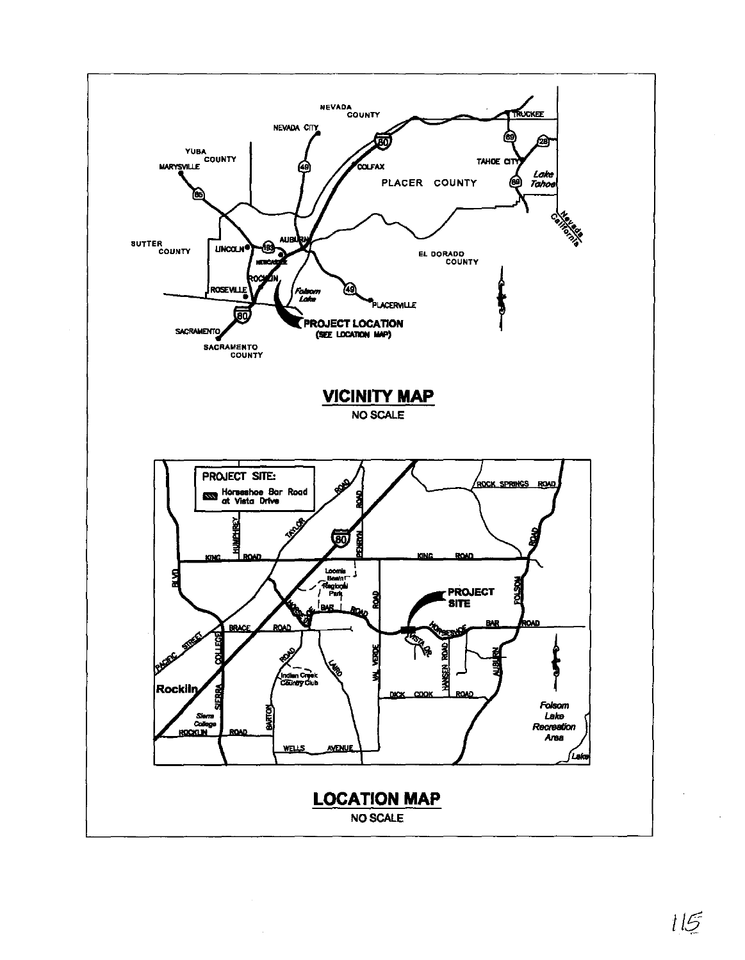